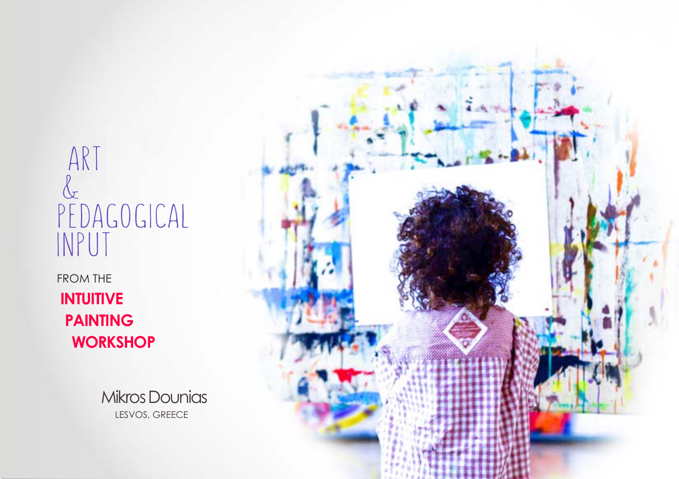# ART  $\alpha$ PEDAGOGICAL INPUT

FROM THE **INTUITIVE PAINTING WORKSHOP**

> Mikros Dounias LESVOS, GREECE

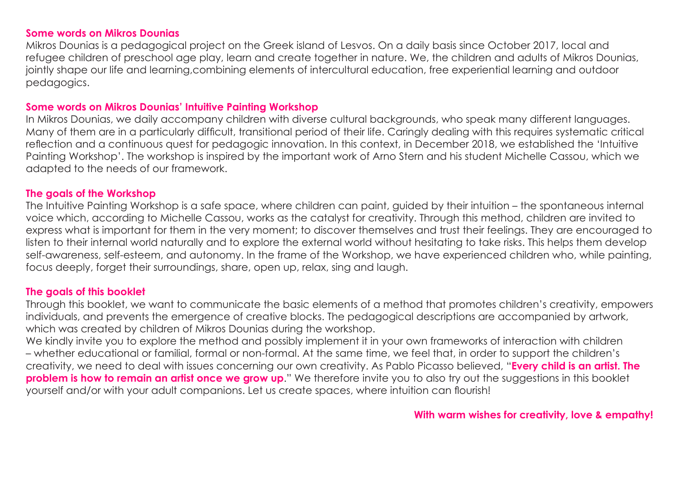#### **Some words on Mikros Dounias**

Mikros Dounias is a pedagogical project on the Greek island of Lesvos. On a daily basis since October 2017, local and refugee children of preschool age play, learn and create together in nature. We, the children and adults of Mikros Dounias, jointly shape our life and learning,combining elements of intercultural education, free experiential learning and outdoor pedagogics.

#### **Some words on Mikros Dounias' Intuitive Painting Workshop**

In Mikros Dounias, we daily accompany children with diverse cultural backgrounds, who speak many different languages. Many of them are in a particularly difficult, transitional period of their life. Caringly dealing with this requires systematic critical reflection and a continuous quest for pedagogic innovation. In this context, in December 2018, we established the 'Intuitive Painting Workshop'. The workshop is inspired by the important work of Arno Stern and his student Michelle Cassou, which we adapted to the needs of our framework.

#### **The goals of the Workshop**

The Intuitive Painting Workshop is a safe space, where children can paint, guided by their intuition – the spontaneous internal voice which, according to Michelle Cassou, works as the catalyst for creativity. Through this method, children are invited to express what is important for them in the very moment; to discover themselves and trust their feelings. They are encouraged to listen to their internal world naturally and to explore the external world without hesitating to take risks. This helps them develop self-awareness, self-esteem, and autonomy. In the frame of the Workshop, we have experienced children who, while painting, focus deeply, forget their surroundings, share, open up, relax, sing and laugh.

#### **The goals of this booklet**

Through this booklet, we want to communicate the basic elements of a method that promotes children's creativity, empowers individuals, and prevents the emergence of creative blocks. The pedagogical descriptions are accompanied by artwork, which was created by children of Mikros Dounias during the workshop.

We kindly invite you to explore the method and possibly implement it in your own frameworks of interaction with children – whether educational or familial, formal or non-formal. At the same time, we feel that, in order to support the children's creativity, we need to deal with issues concerning our own creativity. As Pablo Picasso believed, "**Every child is an artist. The problem is how to remain an artist once we grow up**." We therefore invite you to also try out the suggestions in this booklet yourself and/or with your adult companions. Let us create spaces, where intuition can flourish!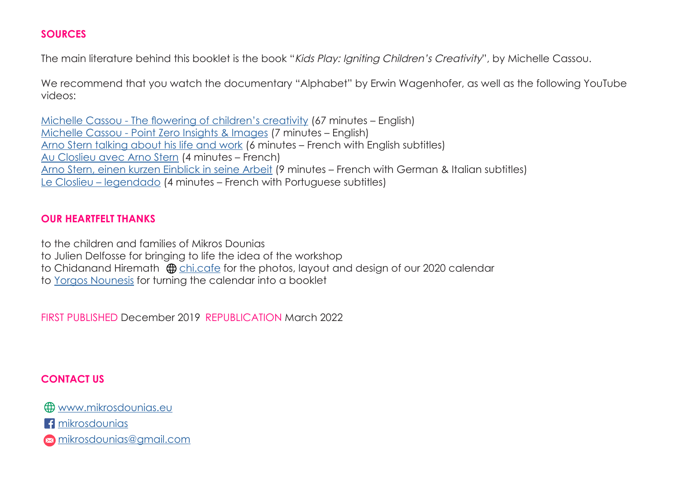#### **SOURCES**

The main literature behind this booklet is the book "Kids Play: Igniting Children's Creativity", by Michelle Cassou.

We recommend that you watch the documentary "Alphabet" by Erwin Wagenhofer, as well as the following YouTube videos:

[Michelle Cassou - Τhe flowering of children's creativity](https://www.youtube.com/watch?v=JskYpxMCI-s&t=4s) (67 minutes – English) [Michelle Cassou - Point Zero Insights & Images](https://www.youtube.com/watch?v=aMG1YeTpmOw&t=4s) (7 minutes – English) [Arno Stern talking about his life and work](https://www.youtube.com/watch?v=ZZN6XFAxmB8&t=2s) (6 minutes – French with English subtitles) [Au Closlieu avec Arno Stern](https://www.youtube.com/watch?v=XTjHK8Lo9yE&t=119s) (4 minutes – French) [Arno Stern, einen kurzen Einblick in seine Arbeit](https://www.youtube.com/watch?v=E9210eQ_dmY&t=334s) (9 minutes – French with German & Italian subtitles) [Le Closlieu – legendado](https://www.youtube.com/watch?v=79RFAebh-hQ&t=121s) (4 minutes – French with Portuguese subtitles)

# **OUR HEARTFELT THANKS**

to the children and families of Mikros Dounias

to Julien Delfosse for bringing to life the idea of the workshop

to Chidanand Hiremath  $\oplus$  [chi.cafe](https://chi.cafe) for the photos, layout and design of our 2020 calendar

to [Yorgos Nounesis](mailto:Yorgos.Nounesis%40yahoo.com?subject=) for turning the calendar into a booklet

FIRST PUBLISHED December 2019 REPUBLICATION March 2022

# **CONTACT US**

[www.mikrosdounias.eu](http://www.mikrosdounias.eu)

**f** [mikrosdounias](https://www.facebook.com/mikrosdounias)

[mikrosdounias@gmail.com](mailto:mikrosdounias%40gmail.com?subject=)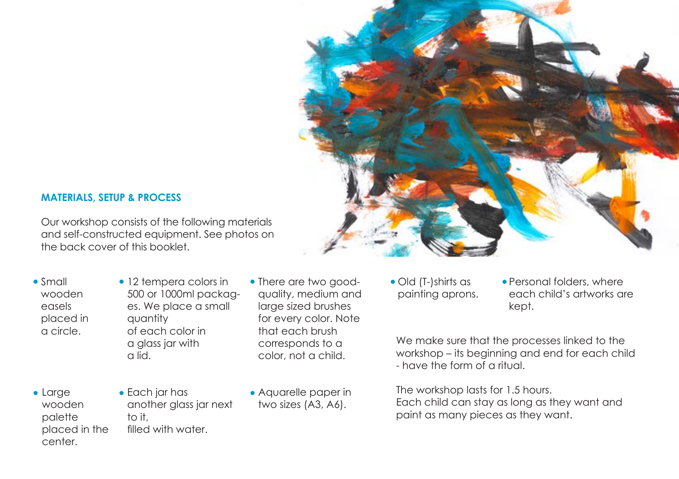

## **MATERIALS, SETUP & PROCESS**

Our workshop consists of the following materials and self-constructed equipment. See photos on the back cover of this booklet.

- Small wooden easels placed in a circle.
- 12 tempera colors in 500 or 1000ml packages. We place a small quantity of each color in a glass jar with a lid.
- There are two goodquality, medium and large sized brushes for every color. Note that each brush corresponds to a color, not a child.

- Large wooden palette placed in the center.
- Each jar has another glass jar next to it, filled with water.
- Aquarelle paper in two sizes (A3, A6).
- Old (T-)shirts as painting aprons.
- Personal folders, where each child's artworks are kept.

We make sure that the processes linked to the workshop – its beginning and end for each child - have the form of a ritual.

The workshop lasts for 1.5 hours. Each child can stay as long as they want and paint as many pieces as they want.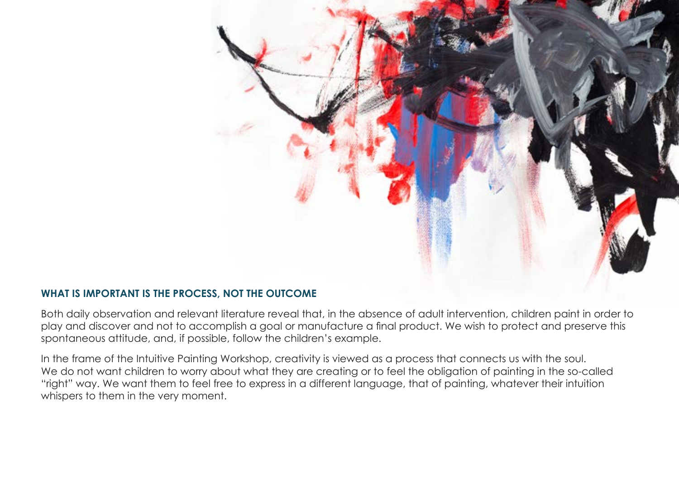

#### **WHAT IS IMPORTANT IS THE PROCESS, NOT THE OUTCOME**

Both daily observation and relevant literature reveal that, in the absence of adult intervention, children paint in order to play and discover and not to accomplish a goal or manufacture a final product. We wish to protect and preserve this spontaneous attitude, and, if possible, follow the children's example.

In the frame of the Intuitive Painting Workshop, creativity is viewed as a process that connects us with the soul. We do not want children to worry about what they are creating or to feel the obligation of painting in the so-called "right" way. We want them to feel free to express in a different language, that of painting, whatever their intuition whispers to them in the very moment.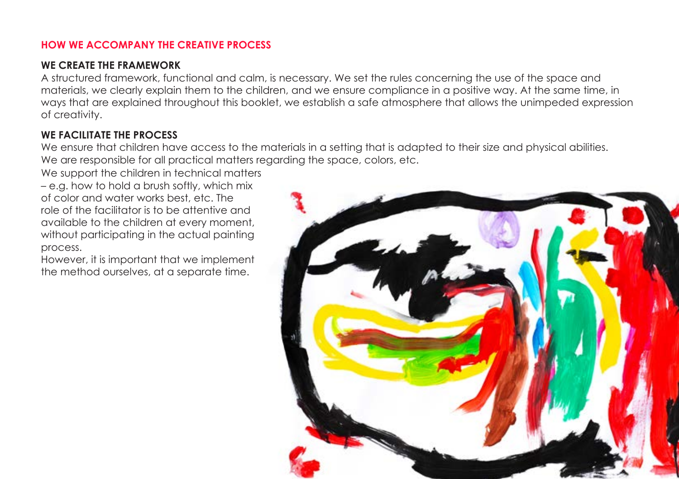# **HOW WE ACCOMPANY THE CREATIVE PROCESS**

# **WE CREATE THE FRAMEWORK**

A structured framework, functional and calm, is necessary. We set the rules concerning the use of the space and materials, we clearly explain them to the children, and we ensure compliance in a positive way. At the same time, in ways that are explained throughout this booklet, we establish a safe atmosphere that allows the unimpeded expression of creativity.

# **WE FACILITATE THE PROCESS**

We ensure that children have access to the materials in a setting that is adapted to their size and physical abilities. We are responsible for all practical matters regarding the space, colors, etc.

We support the children in technical matters – e.g. how to hold a brush softly, which mix of color and water works best, etc. The role of the facilitator is to be attentive and available to the children at every moment, without participating in the actual painting process.

However, it is important that we implement the method ourselves, at a separate time.

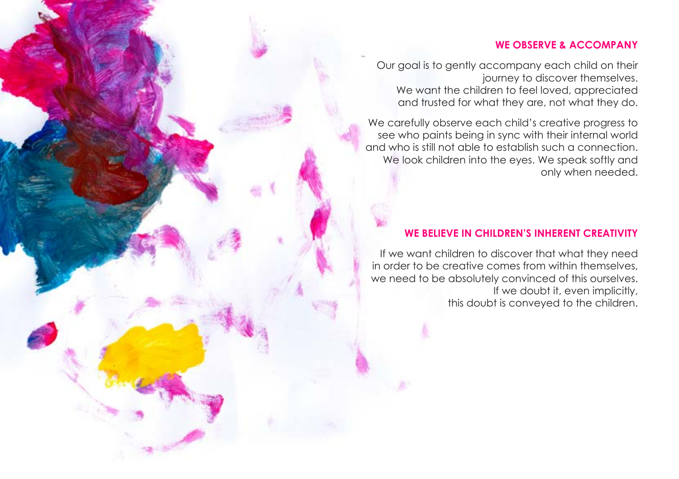#### **WE OBSERVE & ACCOMPANY**

Our goal is to gently accompany each child on their journey to discover themselves. We want the children to feel loved, appreciated and trusted for what they are, not what they do.

We carefully observe each child's creative progress to see who paints being in sync with their internal world and who is still not able to establish such a connection. We look children into the eyes. We speak softly and only when needed.

#### **WE BELIEVE IN CHILDREN'S INHERENT CREATIVITY**

If we want children to discover that what they need in order to be creative comes from within themselves, we need to be absolutely convinced of this ourselves. If we doubt it, even implicitly, this doubt is conveyed to the children.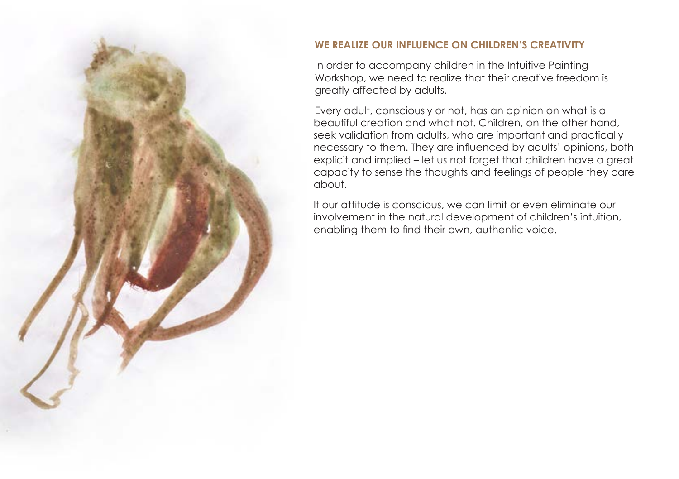

# **WE REALIZE OUR INFLUENCE ON CHILDREN'S CREATIVITY**

In order to accompany children in the Intuitive Painting Workshop, we need to realize that their creative freedom is greatly affected by adults.

Every adult, consciously or not, has an opinion on what is a beautiful creation and what not. Children, on the other hand, seek validation from adults, who are important and practically necessary to them. They are influenced by adults' opinions, both explicit and implied – let us not forget that children have a great capacity to sense the thoughts and feelings of people they care about.

If our attitude is conscious, we can limit or even eliminate our involvement in the natural development of children's intuition, enabling them to find their own, authentic voice.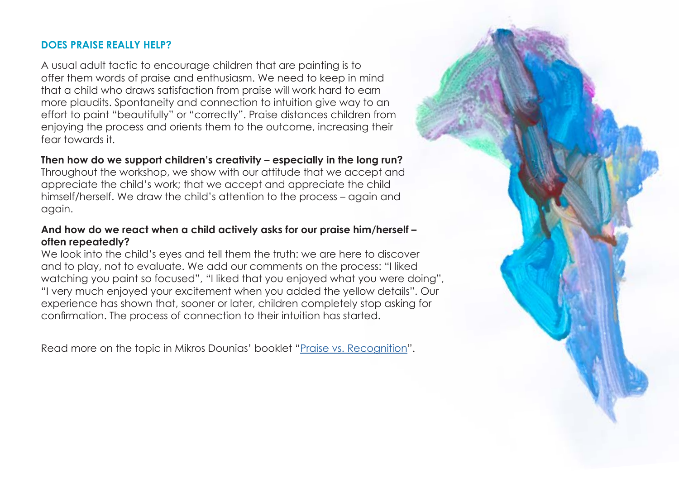#### **DOES PRAISE REALLY HELP?**

A usual adult tactic to encourage children that are painting is to offer them words of praise and enthusiasm. We need to keep in mind that a child who draws satisfaction from praise will work hard to earn more plaudits. Spontaneity and connection to intuition give way to an effort to paint "beautifully" or "correctly". Praise distances children from enjoying the process and orients them to the outcome, increasing their fear towards it.

#### **Then how do we support children's creativity – especially in the long run?**

Throughout the workshop, we show with our attitude that we accept and appreciate the child's work; that we accept and appreciate the child himself/herself. We draw the child's attention to the process – again and again.

#### **And how do we react when a child actively asks for our praise him/herself – often repeatedly?**

We look into the child's eyes and tell them the truth: we are here to discover and to play, not to evaluate. We add our comments on the process: "I liked watching you paint so focused", "I liked that you enjoyed what you were doing", "I very much enjoyed your excitement when you added the yellow details". Our experience has shown that, sooner or later, children completely stop asking for confirmation. The process of connection to their intuition has started.

Read more on the topic in Mikros Dounias' booklet ["Praise vs. Recognition](https://www.mikrosdounias.eu/files/pedagogical%20texts/Praise%20-%20Mikros%20Dounias%20-%20Dec.%202021.pdf)".

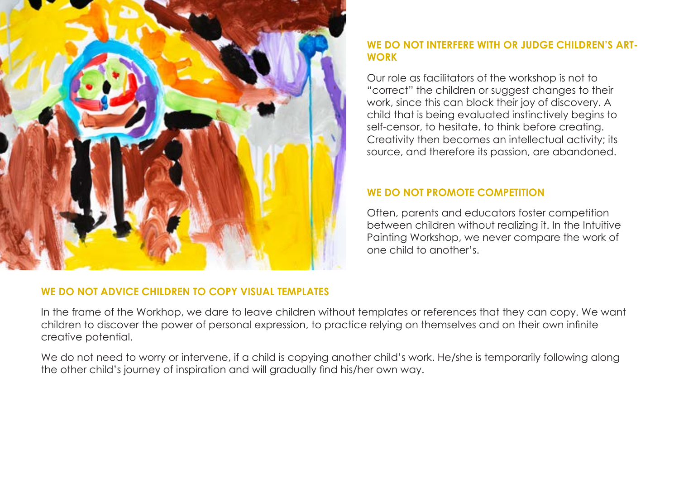

## WE DO NOT INTERFERE WITH OR JUDGE CHILDREN'S ART-**WORK**

Our role as facilitators of the workshop is not to "correct" the children or suggest changes to their work, since this can block their joy of discovery. A child that is being evaluated instinctively begins to self-censor, to hesitate, to think before creating. Creativity then becomes an intellectual activity; its source, and therefore its passion, are abandoned.

#### **WE DO NOT PROMOTE COMPETITION**

Often, parents and educators foster competition between children without realizing it. In the Intuitive Painting Workshop, we never compare the work of one child to another's.

#### **WE DO NOT ADVICE CHILDREN TO COPY VISUAL TEMPLATES**

In the frame of the Workhop, we dare to leave children without templates or references that they can copy. We want children to discover the power of personal expression, to practice relying on themselves and on their own infinite creative potential.

We do not need to worry or intervene, if a child is copying another child's work. He/she is temporarily following along the other child's journey of inspiration and will gradually find his/her own way.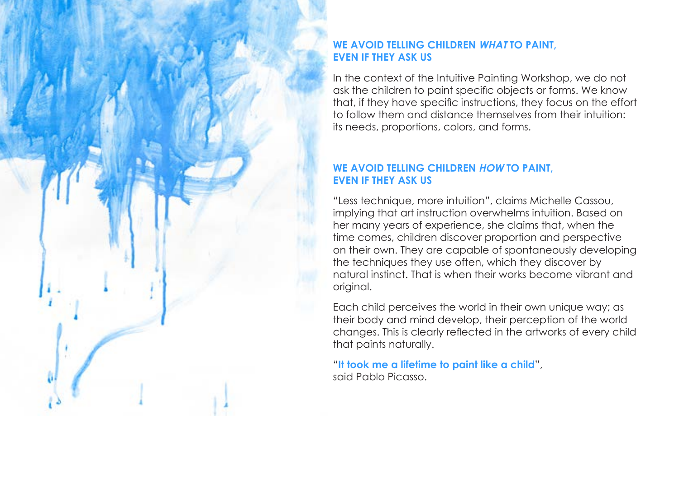#### **WE AVOID TELLING CHILDREN WHATTO PAINT EVEN IF THEY ASK US**

In the context of the Intuitive Painting Workshop, we do not ask the children to paint specific objects or forms. We know that, if they have specific instructions, they focus on the effort to follow them and distance themselves from their intuition: its needs, proportions, colors, and forms.

#### **WE AVOID TELLING CHILDREN HOW TO PAINT. EVEN IF THEY ASK US**

"Less technique, more intuition", claims Michelle Cassou, implying that art instruction overwhelms intuition. Based on her many years of experience, she claims that, when the time comes, children discover proportion and perspective on their own. They are capable of spontaneously developing the techniques they use often, which they discover by natural instinct. That is when their works become vibrant and original.

Each child perceives the world in their own unique way; as their body and mind develop, their perception of the world changes. This is clearly reflected in the artworks of every child that paints naturally.

"**It took me a lifetime to paint like a child**", said Pablo Picasso.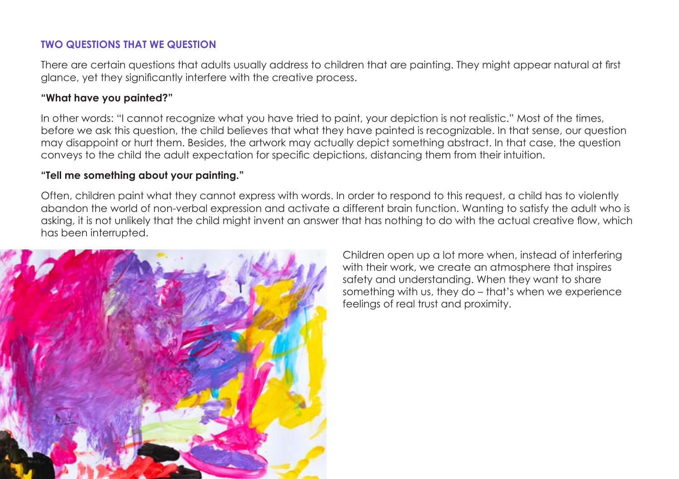# **TWO QUESTIONS THAT WE QUESTION**

There are certain questions that adults usually address to children that are painting. They might appear natural at first glance, yet they significantly interfere with the creative process.

## **"What have you painted?"**

In other words: "I cannot recognize what you have tried to paint, your depiction is not realistic." Most of the times, before we ask this question, the child believes that what they have painted is recognizable. In that sense, our question may disappoint or hurt them. Besides, the artwork may actually depict something abstract. In that case, the question conveys to the child the adult expectation for specific depictions, distancing them from their intuition.

# **"Tell me something about your painting."**

Often, children paint what they cannot express with words. In order to respond to this request, a child has to violently abandon the world of non-verbal expression and activate a different brain function. Wanting to satisfy the adult who is asking, it is not unlikely that the child might invent an answer that has nothing to do with the actual creative flow, which has been interrupted.



Children open up a lot more when, instead of interfering with their work, we create an atmosphere that inspires safety and understanding. When they want to share something with us, they do – that's when we experience feelings of real trust and proximity.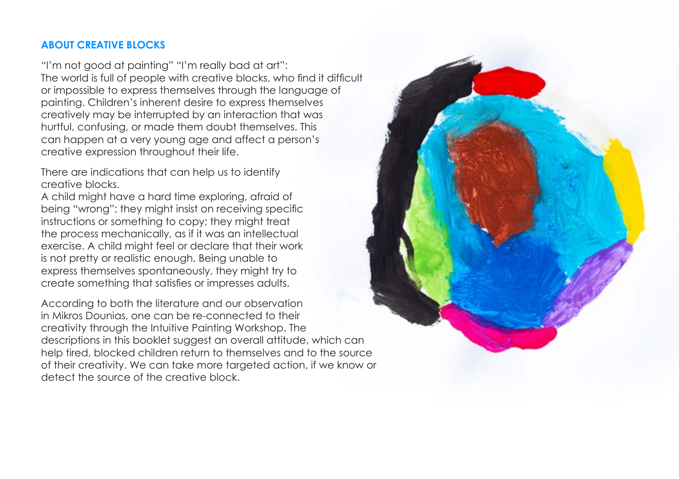#### **ABOUT CREATIVE BLOCKS**

"I'm not good at painting" "I'm really bad at art": The world is full of people with creative blocks, who find it difficult or impossible to express themselves through the language of painting. Children's inherent desire to express themselves creatively may be interrupted by an interaction that was hurtful, confusing, or made them doubt themselves. This can happen at a very young age and affect a person's creative expression throughout their life.

There are indications that can help us to identify creative blocks.

A child might have a hard time exploring, afraid of being "wrong"; they might insist on receiving specific instructions or something to copy; they might treat the process mechanically, as if it was an intellectual exercise. A child might feel or declare that their work is not pretty or realistic enough. Being unable to express themselves spontaneously, they might try to create something that satisfies or impresses adults.

According to both the literature and our observation in Mikros Dounias, one can be re-connected to their creativity through the Intuitive Painting Workshop. The descriptions in this booklet suggest an overall attitude, which can help tired, blocked children return to themselves and to the source of their creativity. We can take more targeted action, if we know or detect the source of the creative block.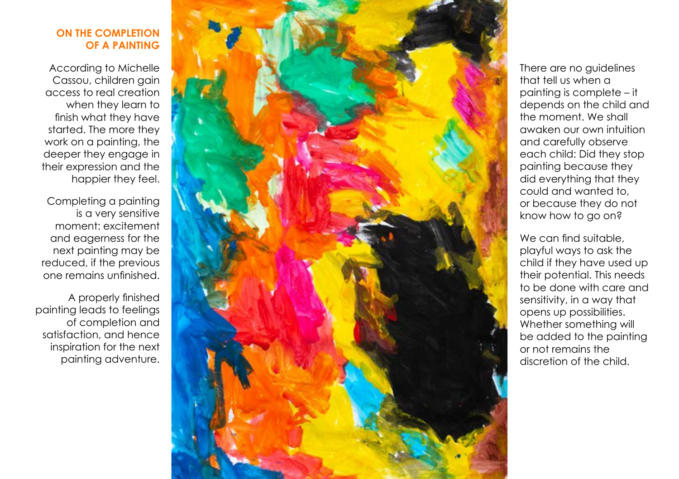#### **ON THE COMPLETION OF A PAINTING**

According to Michelle Cassou, children gain access to real creation when they learn to finish what they have started. The more they work on a painting, the deeper they engage in their expression and the happier they feel.

Completing a painting is a very sensitive moment: excitement and eagerness for the next painting may be reduced, if the previous one remains unfinished.

A properly finished painting leads to feelings of completion and satisfaction, and hence inspiration for the next painting adventure.



There are no guidelines that tell us when a painting is complete – it depends on the child and the moment. We shall awaken our own intuition and carefully observe each child: Did they stop painting because they did everything that they could and wanted to, or because they do not know how to go on?

We can find suitable. playful ways to ask the child if they have used up their potential. This needs to be done with care and sensitivity, in a way that opens up possibilities. Whether something will be added to the painting or not remains the discretion of the child.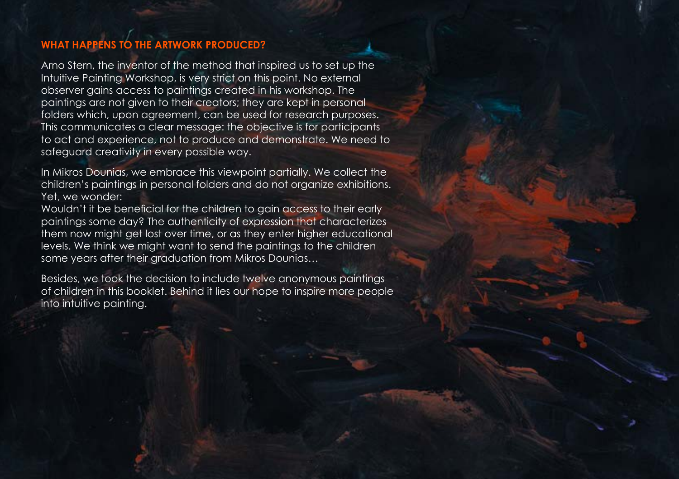# **WHAT HAPPENS TO THE ARTWORK PRODUCED?**

Arno Stern, the inventor of the method that inspired us to set up the Intuitive Painting Workshop, is very strict on this point. No external observer gains access to paintings created in his workshop. The paintings are not given to their creators; they are kept in personal folders which, upon agreement, can be used for research purposes. This communicates a clear message: the objective is for participants to act and experience, not to produce and demonstrate. We need to safeguard creativity in every possible way.

In Mikros Dounias, we embrace this viewpoint partially. We collect the children's paintings in personal folders and do not organize exhibitions. Yet, we wonder:

Wouldn't it be beneficial for the children to gain access to their early paintings some day? The authenticity of expression that characterizes them now might get lost over time, or as they enter higher educational levels. We think we might want to send the paintings to the children some years after their graduation from Mikros Dounias…

Besides, we took the decision to include twelve anonymous paintings of children in this booklet. Behind it lies our hope to inspire more people into intuitive painting.